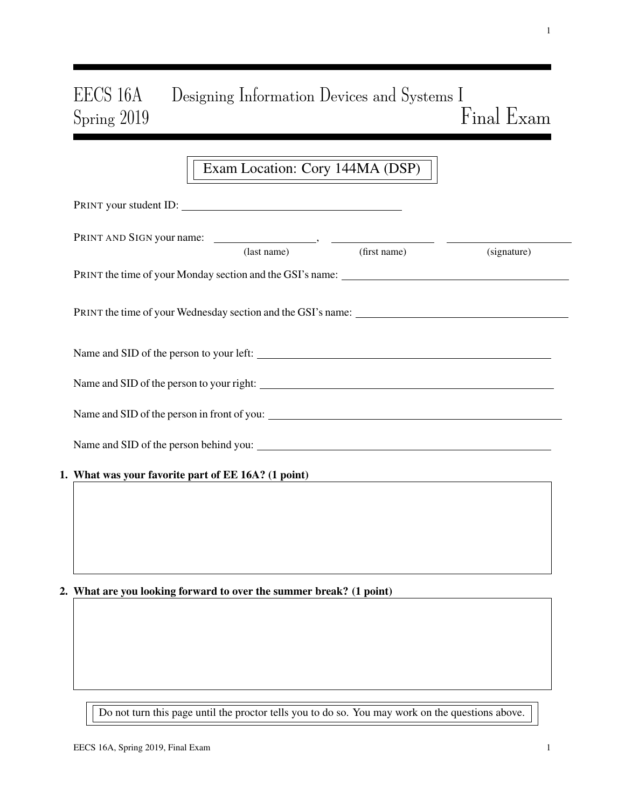# EECS 16A Designing Information Devices and Systems I Spring 2019 Final Exam

## Exam Location: Cory 144MA (DSP)

|                                                     | (signature)                                        |
|-----------------------------------------------------|----------------------------------------------------|
|                                                     |                                                    |
|                                                     |                                                    |
|                                                     |                                                    |
|                                                     |                                                    |
|                                                     |                                                    |
|                                                     |                                                    |
|                                                     |                                                    |
|                                                     |                                                    |
|                                                     |                                                    |
| 1. What was your favorite part of EE 16A? (1 point) | PRINT your student ID:<br>(last name) (first name) |

## 2. What are you looking forward to over the summer break? (1 point)

Do not turn this page until the proctor tells you to do so. You may work on the questions above.

1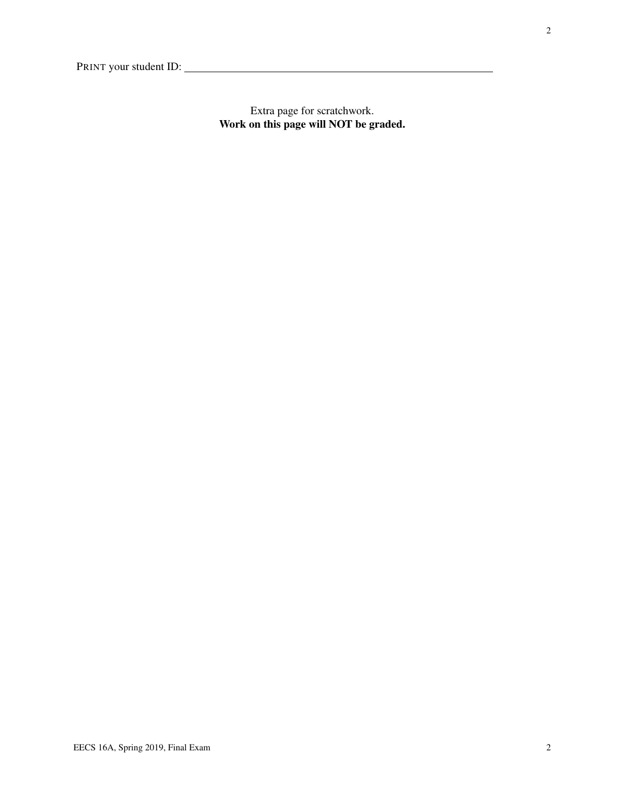Extra page for scratchwork. Work on this page will NOT be graded.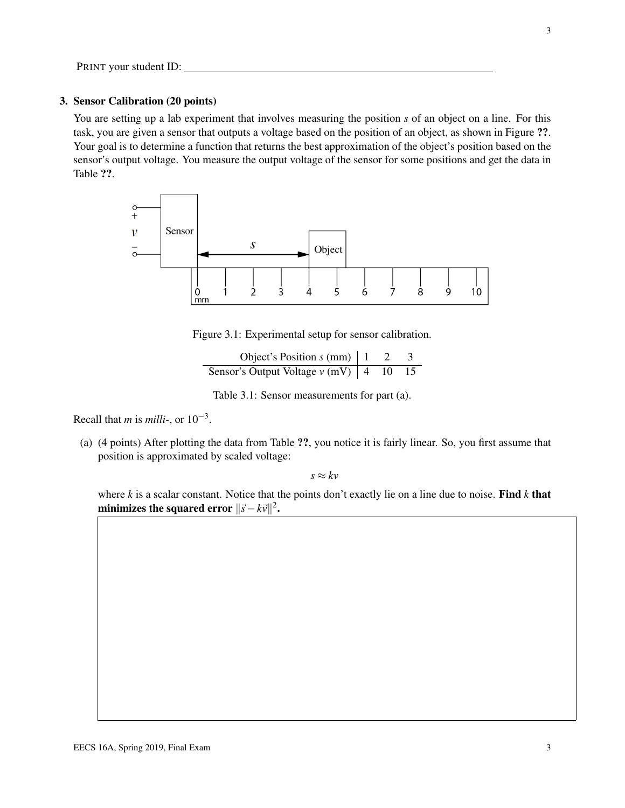#### 3. Sensor Calibration (20 points)

You are setting up a lab experiment that involves measuring the position *s* of an object on a line. For this task, you are given a sensor that outputs a voltage based on the position of an object, as shown in Figure ??. Your goal is to determine a function that returns the best approximation of the object's position based on the sensor's output voltage. You measure the output voltage of the sensor for some positions and get the data in Table ??.



Figure 3.1: Experimental setup for sensor calibration.

Object's Position  $s$  (mm)  $\begin{vmatrix} 1 & 2 & 3 \end{vmatrix}$ Sensor's Output Voltage  $v$  (mV)  $\begin{vmatrix} 4 & 10 & 15 \end{vmatrix}$ 

Table 3.1: Sensor measurements for part (a).

Recall that *m* is *milli-*, or 10−<sup>3</sup> .

(a) (4 points) After plotting the data from Table ??, you notice it is fairly linear. So, you first assume that position is approximated by scaled voltage:

 $s \approx kv$ 

where *k* is a scalar constant. Notice that the points don't exactly lie on a line due to noise. Find *k* that minimizes the squared error  $\|\vec{s} - k\vec{v}\|^2$ .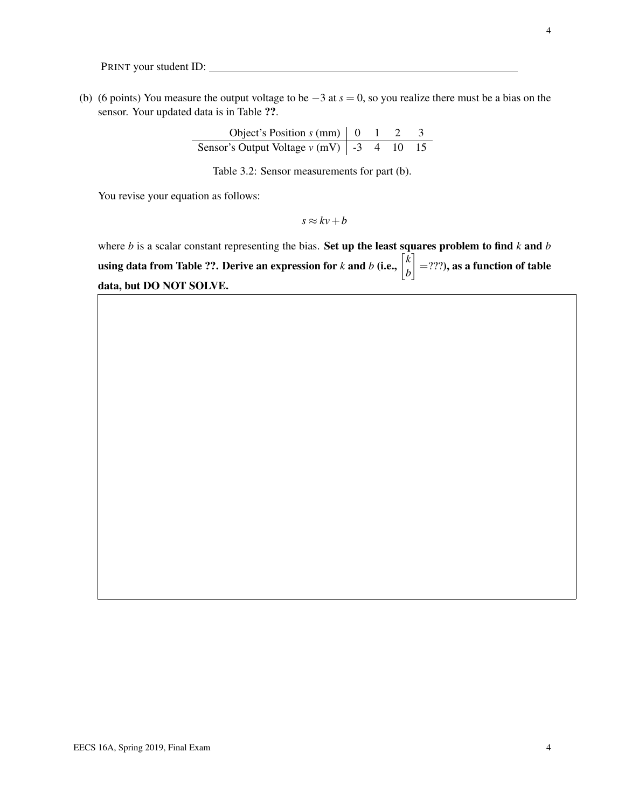(b) (6 points) You measure the output voltage to be −3 at *s* = 0, so you realize there must be a bias on the sensor. Your updated data is in Table ??.

| Object's Position $s$ (mm) $\vert$ 0                |  |  |
|-----------------------------------------------------|--|--|
| Sensor's Output Voltage $v$ (mV) $\vert$ -3 4 10 15 |  |  |

Table 3.2: Sensor measurements for part (b).

You revise your equation as follows:

 $s \approx kv + b$ 

where *b* is a scalar constant representing the bias. Set up the least squares problem to find *k* and *b* using data from Table ??. Derive an expression for *k* and *b* (i.e.,  $\begin{bmatrix} k \ h \end{bmatrix}$ *b*  $\Big] =$ ???), as a function of table data, but DO NOT SOLVE.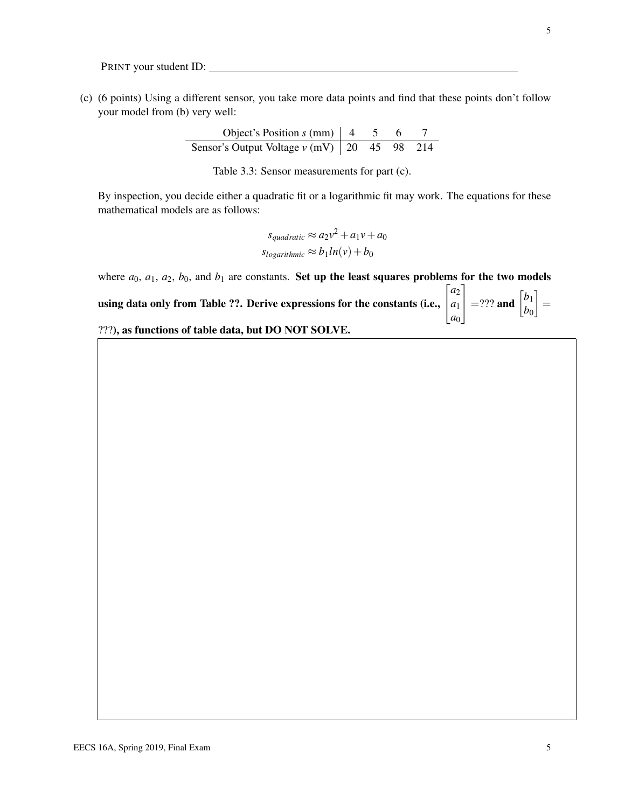(c) (6 points) Using a different sensor, you take more data points and find that these points don't follow your model from (b) very well:

> Object's Position  $s$  (mm)  $\begin{vmatrix} 4 & 5 & 6 & 7 \end{vmatrix}$ Sensor's Output Voltage *v* (mV) | 20 45 98 214

Table 3.3: Sensor measurements for part (c).

By inspection, you decide either a quadratic fit or a logarithmic fit may work. The equations for these mathematical models are as follows:

> $s_{quadratic} \approx a_2v^2 + a_1v + a_0$  $s_{logarithmic} \approx b_1 ln(v) + b_0$

where  $a_0$ ,  $a_1$ ,  $a_2$ ,  $b_0$ , and  $b_1$  are constants. Set up the least squares problems for the two models

using data only from Table ??. Derive expressions for the constants (i.e.,  $\sqrt{ }$  $\overline{1}$ *a*2 *a*1  $|a_0|$  $\begin{bmatrix} b_1 \\ b_0 \end{bmatrix}$  =??? and  $\begin{bmatrix} b_1 \\ b_0 \end{bmatrix}$ *b*0  $\Big] =$ 

???), as functions of table data, but DO NOT SOLVE.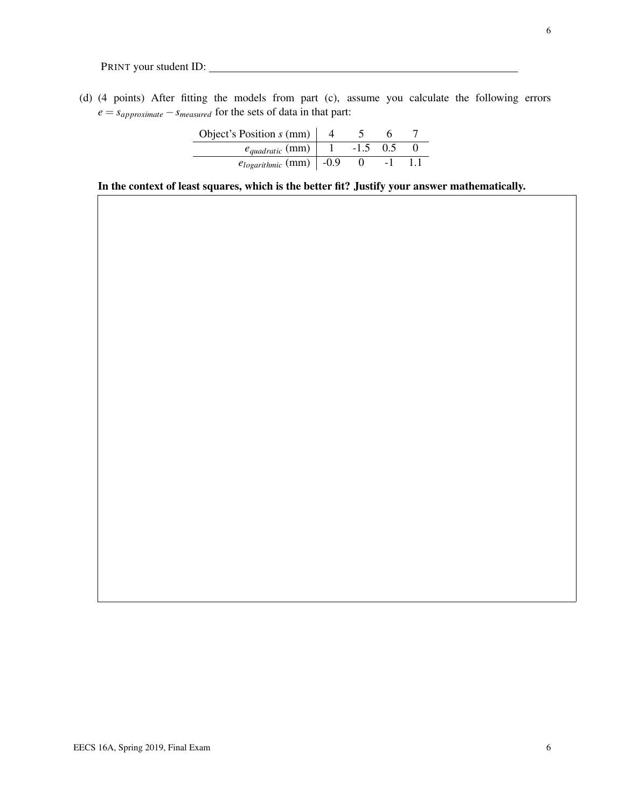(d) (4 points) After fitting the models from part (c), assume you calculate the following errors  $e = s_{approximate} - s_{measured}$  for the sets of data in that part:

| Object's Position $s$ (mm)    |        |     |  |
|-------------------------------|--------|-----|--|
| $e_{quadratic}$ (mm)          | $-1.5$ | 0.5 |  |
| $e_{logarithmic}$ (mm)   -0.9 |        |     |  |

In the context of least squares, which is the better fit? Justify your answer mathematically.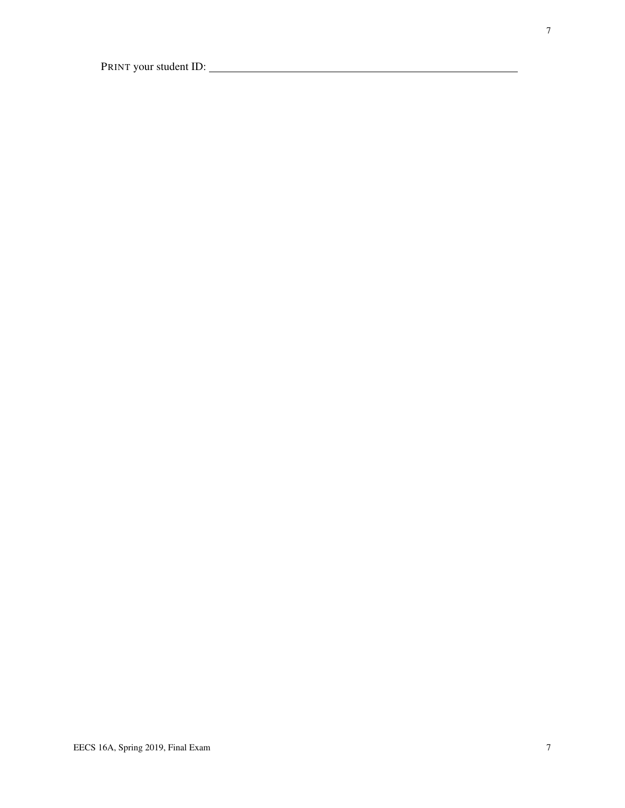7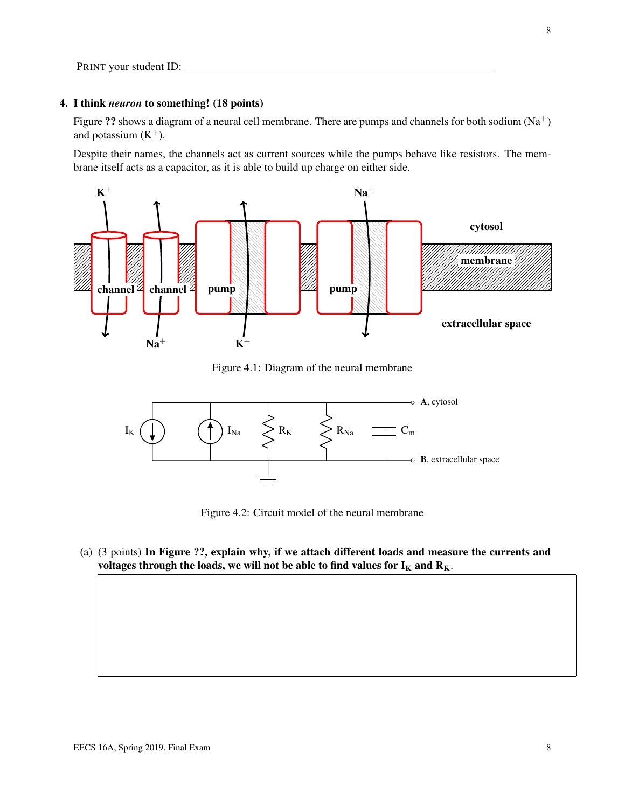#### 4. I think *neuron* to something! (18 points)

Figure ?? shows a diagram of a neural cell membrane. There are pumps and channels for both sodium (Na<sup>+</sup>) and potassium  $(K^+)$ .

Despite their names, the channels act as current sources while the pumps behave like resistors. The membrane itself acts as a capacitor, as it is able to build up charge on either side.



Figure 4.1: Diagram of the neural membrane



Figure 4.2: Circuit model of the neural membrane

(a) (3 points) In Figure ??, explain why, if we attach different loads and measure the currents and voltages through the loads, we will not be able to find values for  $I_K$  and  $R_K$ .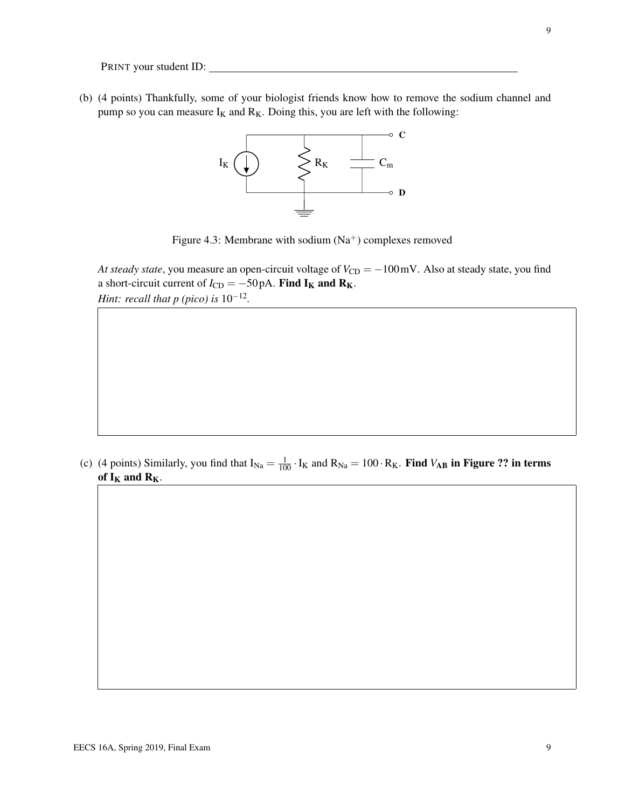(b) (4 points) Thankfully, some of your biologist friends know how to remove the sodium channel and pump so you can measure  $I_K$  and  $R_K$ . Doing this, you are left with the following:



Figure 4.3: Membrane with sodium  $(Na<sup>+</sup>)$  complexes removed

*At steady state*, you measure an open-circuit voltage of  $V_{CD} = -100$  mV. Also at steady state, you find a short-circuit current of  $I_{CD} = -50 \text{ pA}$ . Find I<sub>K</sub> and R<sub>K</sub>. *Hint: recall that p (pico) is* 10<sup>-12</sup>.

(c) (4 points) Similarly, you find that  $I_{Na} = \frac{1}{100} \cdot I_K$  and  $R_{Na} = 100 \cdot R_K$ . Find  $V_{AB}$  in Figure ?? in terms of  $I_K$  and  $R_K$ .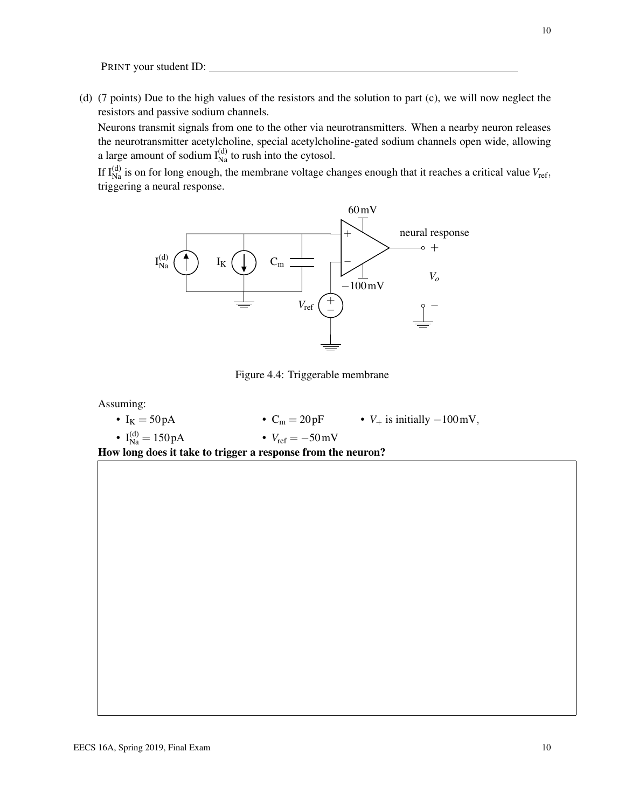(d) (7 points) Due to the high values of the resistors and the solution to part (c), we will now neglect the resistors and passive sodium channels.

Neurons transmit signals from one to the other via neurotransmitters. When a nearby neuron releases the neurotransmitter acetylcholine, special acetylcholine-gated sodium channels open wide, allowing a large amount of sodium  $I_{\text{Na}}^{(d)}$  to rush into the cytosol.

If  $I_{Na}^{(d)}$  is on for long enough, the membrane voltage changes enough that it reaches a critical value  $V_{ref}$ , triggering a neural response.



Figure 4.4: Triggerable membrane

Assuming:

•  $I_K = 50 pA$ •  $I_{Na}^{(d)} = 150 pA$ •  $C_m = 20pF$  •  $V_+$  is initially  $-100mV$ , •  $V_{\text{ref}} = -50 \text{mV}$ 

How long does it take to trigger a response from the neuron?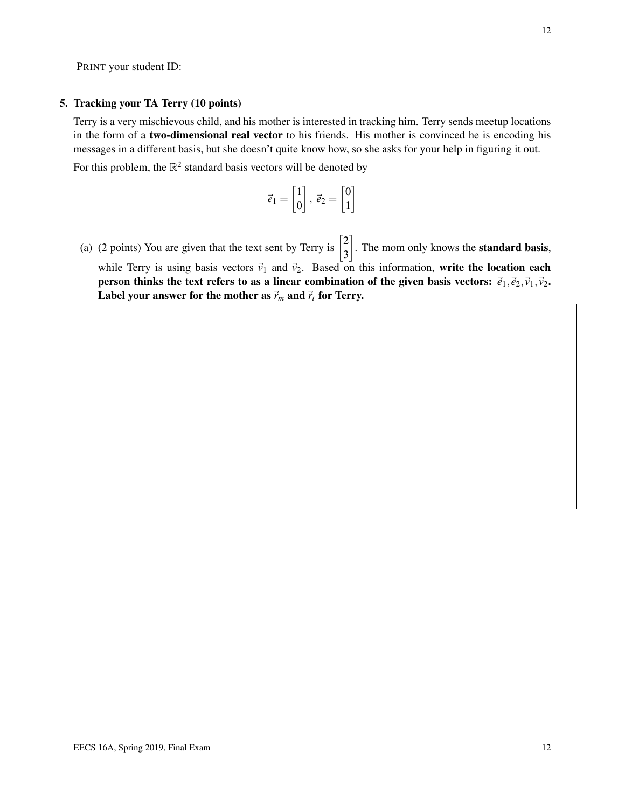#### 5. Tracking your TA Terry (10 points)

Terry is a very mischievous child, and his mother is interested in tracking him. Terry sends meetup locations in the form of a two-dimensional real vector to his friends. His mother is convinced he is encoding his messages in a different basis, but she doesn't quite know how, so she asks for your help in figuring it out. For this problem, the  $\mathbb{R}^2$  standard basis vectors will be denoted by

$$
\vec{e}_1 = \begin{bmatrix} 1 \\ 0 \end{bmatrix}, \ \vec{e}_2 = \begin{bmatrix} 0 \\ 1 \end{bmatrix}
$$

(a) (2 points) You are given that the text sent by Terry is  $\begin{bmatrix} 2 \\ 2 \end{bmatrix}$ 3  $\Big]$ . The mom only knows the **standard basis**, while Terry is using basis vectors  $\vec{v}_1$  and  $\vec{v}_2$ . Based on this information, write the location each person thinks the text refers to as a linear combination of the given basis vectors:  $\vec{e}_1$ ,  $\vec{e}_2$ ,  $\vec{v}_1$ ,  $\vec{v}_2$ . Label your answer for the mother as  $\vec{r}_m$  and  $\vec{r}_t$  for Terry.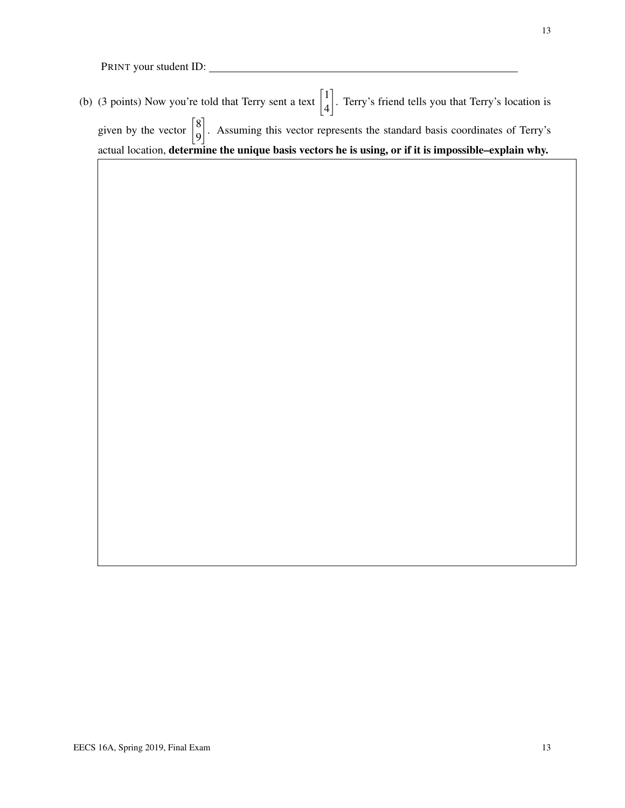(b) (3 points) Now you're told that Terry sent a text  $\begin{bmatrix} 1 \\ 4 \end{bmatrix}$ 4 . Terry's friend tells you that Terry's location is given by the vector  $\begin{bmatrix} 8 \\ 0 \end{bmatrix}$ 9 . Assuming this vector represents the standard basis coordinates of Terry's actual location, determine the unique basis vectors he is using, or if it is impossible–explain why.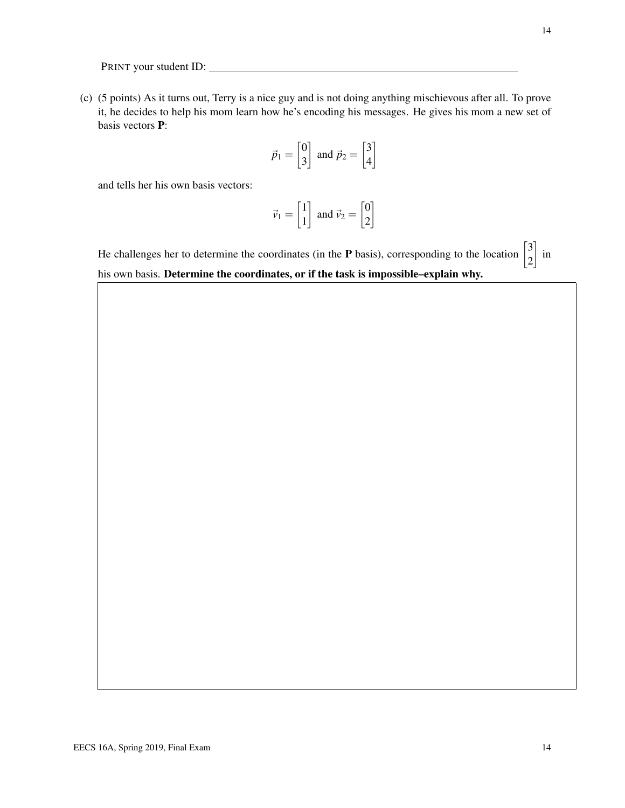(c) (5 points) As it turns out, Terry is a nice guy and is not doing anything mischievous after all. To prove it, he decides to help his mom learn how he's encoding his messages. He gives his mom a new set of basis vectors P:

$$
\vec{p}_1 = \begin{bmatrix} 0 \\ 3 \end{bmatrix} \text{ and } \vec{p}_2 = \begin{bmatrix} 3 \\ 4 \end{bmatrix}
$$

and tells her his own basis vectors:

$$
\vec{v}_1 = \begin{bmatrix} 1 \\ 1 \end{bmatrix} \text{ and } \vec{v}_2 = \begin{bmatrix} 0 \\ 2 \end{bmatrix}
$$

He challenges her to determine the coordinates (in the **P** basis), corresponding to the location  $\begin{bmatrix} 3 \\ 2 \end{bmatrix}$ 2  $\Big]$  in his own basis. Determine the coordinates, or if the task is impossible–explain why.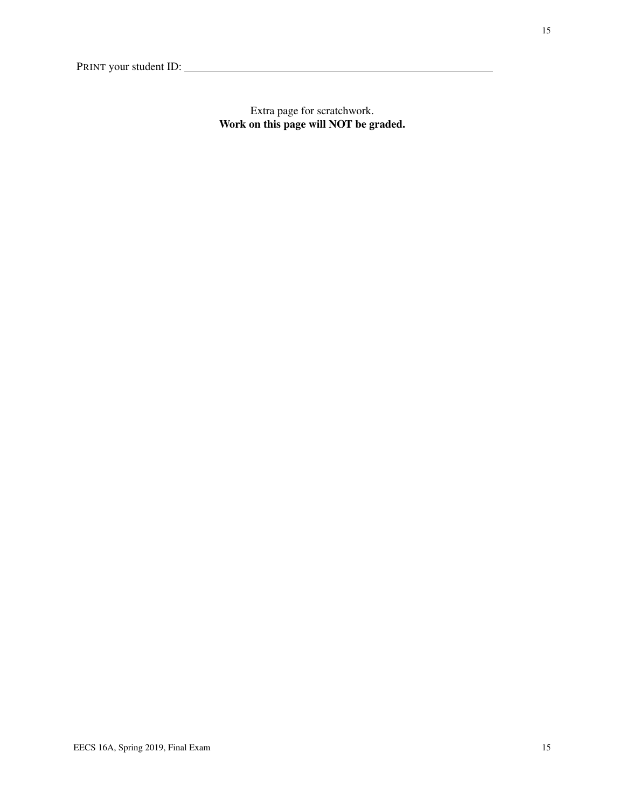Extra page for scratchwork. Work on this page will NOT be graded.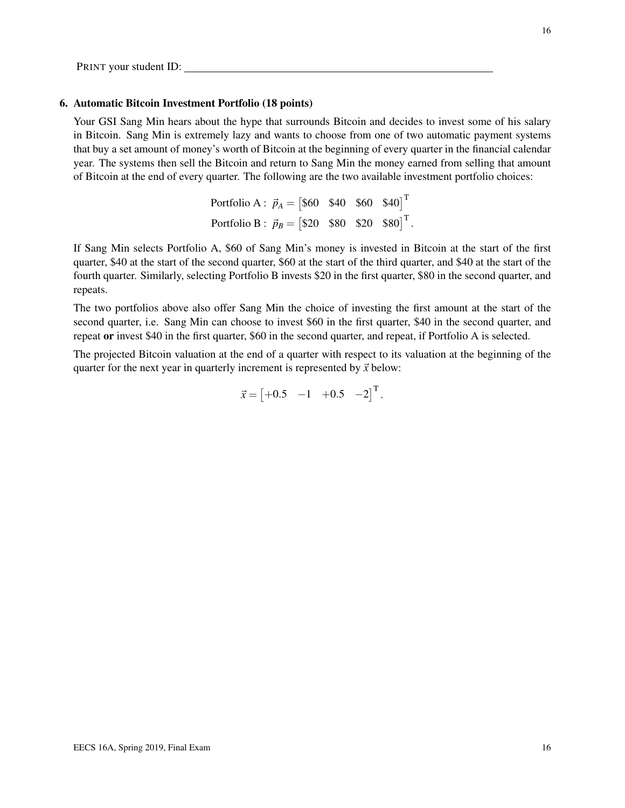#### 6. Automatic Bitcoin Investment Portfolio (18 points)

Your GSI Sang Min hears about the hype that surrounds Bitcoin and decides to invest some of his salary in Bitcoin. Sang Min is extremely lazy and wants to choose from one of two automatic payment systems that buy a set amount of money's worth of Bitcoin at the beginning of every quarter in the financial calendar year. The systems then sell the Bitcoin and return to Sang Min the money earned from selling that amount of Bitcoin at the end of every quarter. The following are the two available investment portfolio choices:

| Portfolio A : $\vec{p}_A = [\$60 \ \$40 \ \$60 \ \$40]^\text{T}$         |  |  |
|--------------------------------------------------------------------------|--|--|
| Portfolio B : $\vec{p}_B = [\$20 \ \ \$80 \ \ \$20 \ \ \$80]^\text{T}$ . |  |  |

If Sang Min selects Portfolio A, \$60 of Sang Min's money is invested in Bitcoin at the start of the first quarter, \$40 at the start of the second quarter, \$60 at the start of the third quarter, and \$40 at the start of the fourth quarter. Similarly, selecting Portfolio B invests \$20 in the first quarter, \$80 in the second quarter, and repeats.

The two portfolios above also offer Sang Min the choice of investing the first amount at the start of the second quarter, i.e. Sang Min can choose to invest \$60 in the first quarter, \$40 in the second quarter, and repeat or invest \$40 in the first quarter, \$60 in the second quarter, and repeat, if Portfolio A is selected.

The projected Bitcoin valuation at the end of a quarter with respect to its valuation at the beginning of the quarter for the next year in quarterly increment is represented by  $\vec{x}$  below:

$$
\vec{x} = \begin{bmatrix} +0.5 & -1 & +0.5 & -2 \end{bmatrix}^\mathrm{T}.
$$

16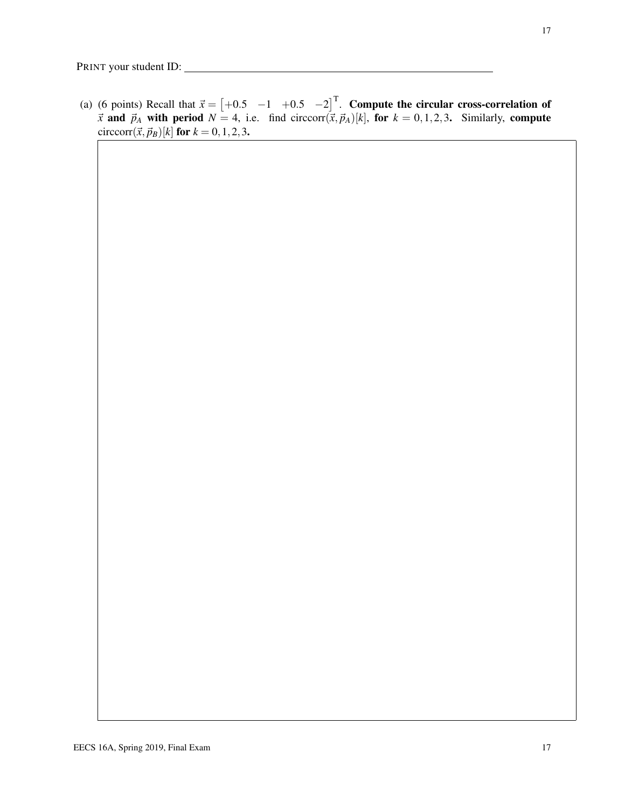(a) (6 points) Recall that  $\vec{x} = \begin{bmatrix} +0.5 & -1 & +0.5 & -2 \end{bmatrix}^T$ . Compute the circular cross-correlation of  $\vec{x}$  and  $\vec{p}_A$  with period  $N = 4$ , i.e. find circcorr $(\vec{x}, \vec{p}_A)[k]$ , for  $k = 0, 1, 2, 3$ . Similarly, compute circcorr $({\vec{x}}, {\vec{p}}_B)[k]$  for  $k = 0, 1, 2, 3$ .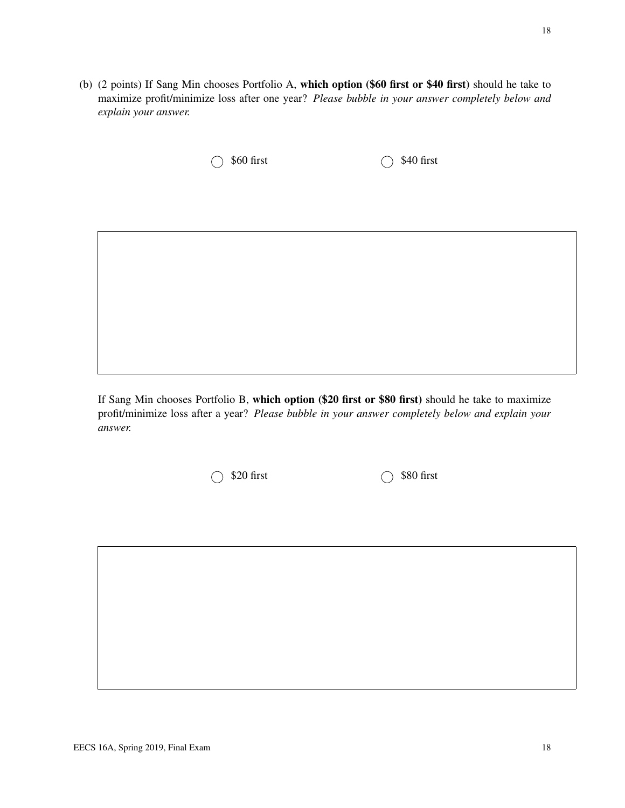(b) (2 points) If Sang Min chooses Portfolio A, which option (\$60 first or \$40 first) should he take to maximize profit/minimize loss after one year? *Please bubble in your answer completely below and explain your answer.*

 $\bigcirc$  \$60 first  $\bigcirc$  \$40 first

If Sang Min chooses Portfolio B, which option (\$20 first or \$80 first) should he take to maximize profit/minimize loss after a year? *Please bubble in your answer completely below and explain your answer.*

 $\bigcirc$  \$20 first  $\bigcirc$  \$80 first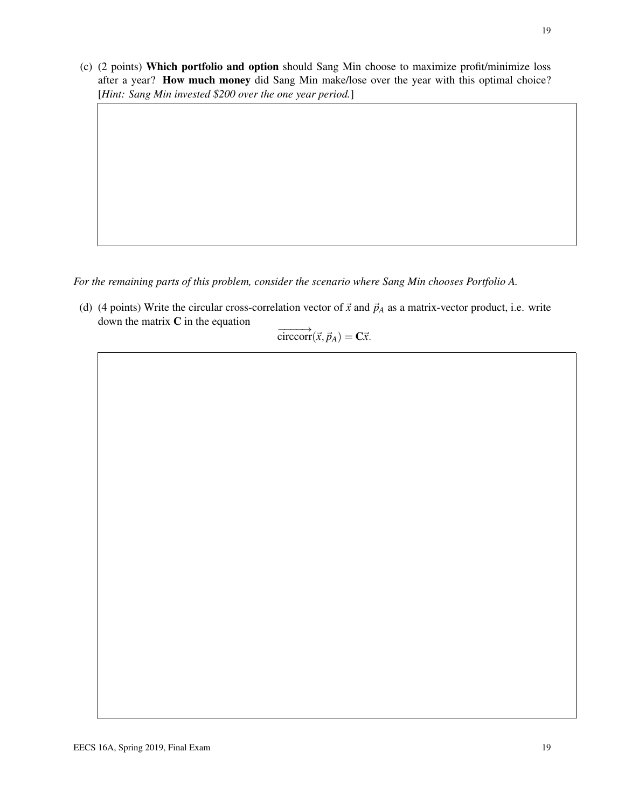(c) (2 points) Which portfolio and option should Sang Min choose to maximize profit/minimize loss after a year? How much money did Sang Min make/lose over the year with this optimal choice? [*Hint: Sang Min invested \$200 over the one year period.*]

*For the remaining parts of this problem, consider the scenario where Sang Min chooses Portfolio A.*

(d) (4 points) Write the circular cross-correlation vector of  $\vec{x}$  and  $\vec{p}_A$  as a matrix-vector product, i.e. write down the matrix  $C$  in the equation

$$
\overrightarrow{\text{circcorr}}(\vec{x}, \vec{p}_A) = \mathbf{C}\vec{x}.
$$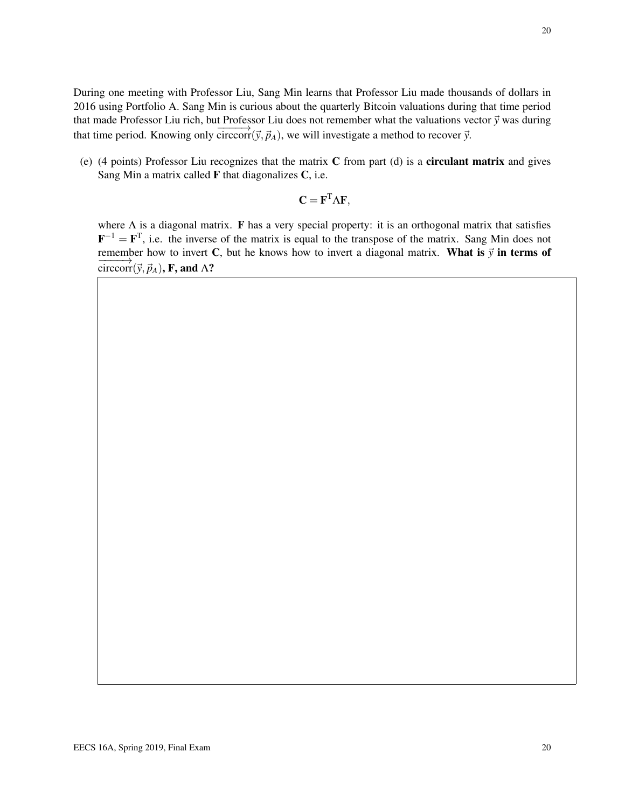During one meeting with Professor Liu, Sang Min learns that Professor Liu made thousands of dollars in 2016 using Portfolio A. Sang Min is curious about the quarterly Bitcoin valuations during that time period that made Professor Liu rich, but Professor Liu does not remember what the valuations vector  $\vec{y}$  was during that time period. Knowing only  $\overrightarrow{circor(y, \vec{p}_A)}$ , we will investigate a method to recover  $\vec{y}$ .

(e) (4 points) Professor Liu recognizes that the matrix C from part (d) is a circulant matrix and gives Sang Min a matrix called  $\bf{F}$  that diagonalizes  $\bf{C}$ , i.e.

$$
\mathbf{C} = \mathbf{F}^{\mathrm{T}} \Lambda \mathbf{F},
$$

where  $\Lambda$  is a diagonal matrix. **F** has a very special property: it is an orthogonal matrix that satisfies  $F^{-1} = F^{T}$ , i.e. the inverse of the matrix is equal to the transpose of the matrix. Sang Min does not remember how to invert C, but he knows how to invert a diagonal matrix. What is  $\vec{y}$  in terms of  $\overrightarrow{\text{circcorr}}(\vec{y}, \vec{p}_A)$ , F, and  $\Lambda$ ?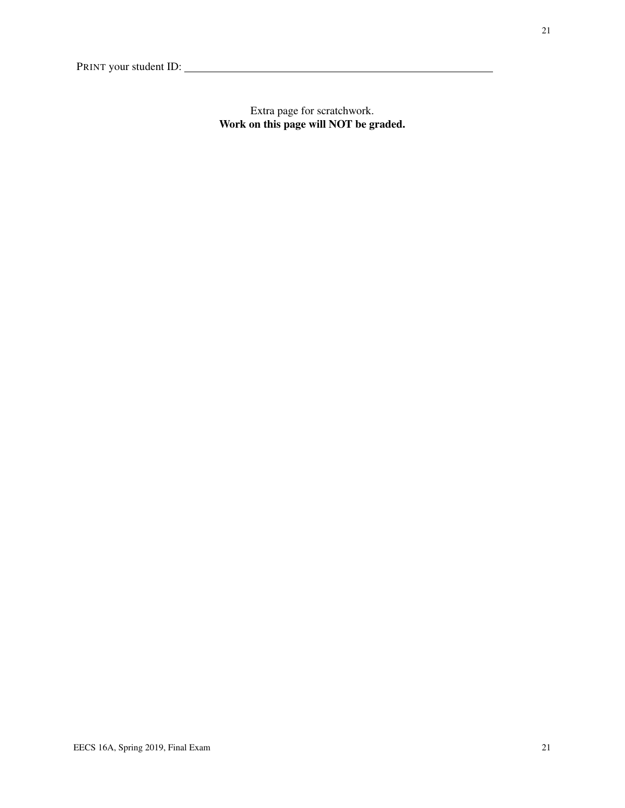Extra page for scratchwork. Work on this page will NOT be graded.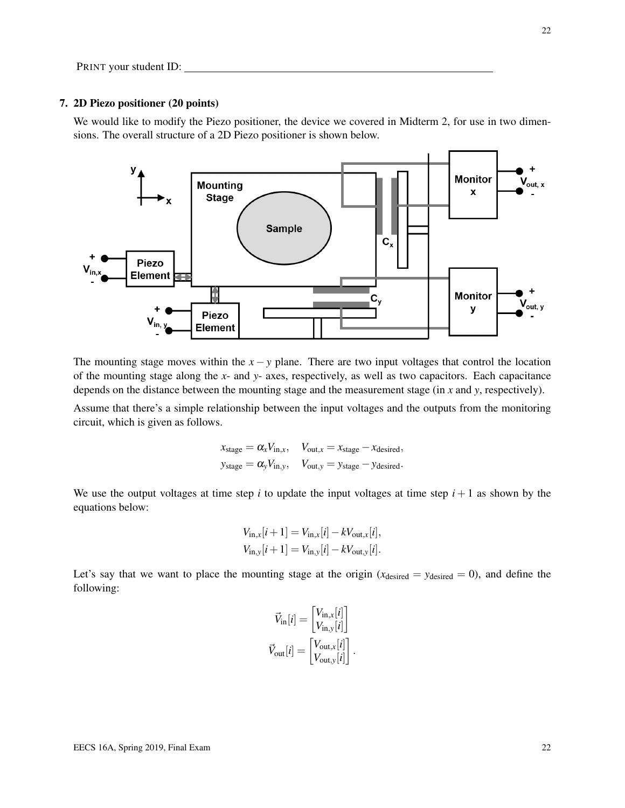#### 7. 2D Piezo positioner (20 points)

We would like to modify the Piezo positioner, the device we covered in Midterm 2, for use in two dimensions. The overall structure of a 2D Piezo positioner is shown below.



The mounting stage moves within the  $x - y$  plane. There are two input voltages that control the location of the mounting stage along the *x*- and *y*- axes, respectively, as well as two capacitors. Each capacitance depends on the distance between the mounting stage and the measurement stage (in *x* and *y*, respectively).

Assume that there's a simple relationship between the input voltages and the outputs from the monitoring circuit, which is given as follows.

$$
x_{\text{stage}} = \alpha_x V_{\text{in},x}, \quad V_{\text{out},x} = x_{\text{stage}} - x_{\text{desired}},
$$
  

$$
y_{\text{stage}} = \alpha_y V_{\text{in},y}, \quad V_{\text{out},y} = y_{\text{stage}} - y_{\text{desired}}.
$$

We use the output voltages at time step  $i$  to update the input voltages at time step  $i + 1$  as shown by the equations below:

$$
V_{\text{in},x}[i+1] = V_{\text{in},x}[i] - kV_{\text{out},x}[i],
$$
  
\n
$$
V_{\text{in},y}[i+1] = V_{\text{in},y}[i] - kV_{\text{out},y}[i].
$$

Let's say that we want to place the mounting stage at the origin  $(x_{\text{desired}} = y_{\text{desired}} = 0)$ , and define the following:

$$
\vec{V}_{\text{in}}[i] = \begin{bmatrix} V_{\text{in},x}[i] \\ V_{\text{in},y}[i] \end{bmatrix}
$$

$$
\vec{V}_{\text{out}}[i] = \begin{bmatrix} V_{\text{out},x}[i] \\ V_{\text{out},y}[i] \end{bmatrix}.
$$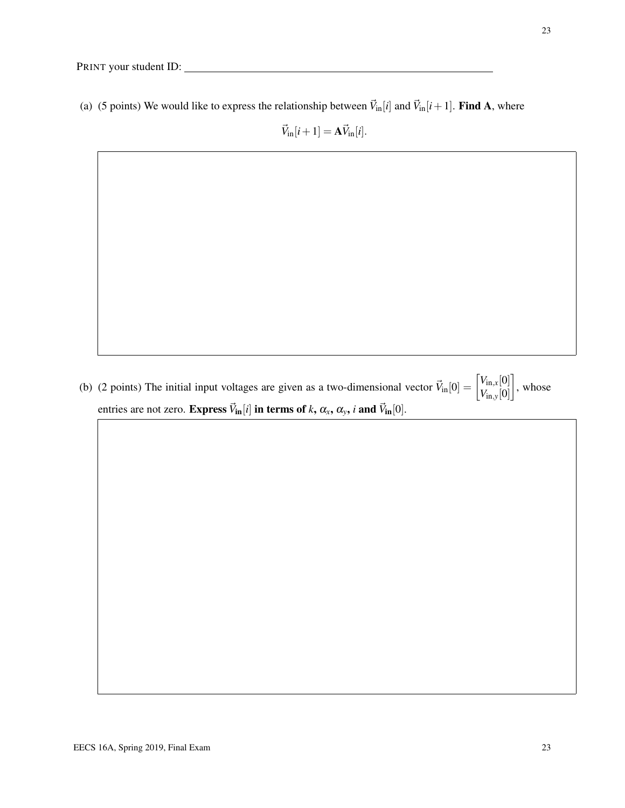(a) (5 points) We would like to express the relationship between  $\vec{V}_{in}[i]$  and  $\vec{V}_{in}[i+1]$ . Find A, where

 $\vec{V}_{in}[i+1] = A \vec{V}_{in}[i].$ 

(b) (2 points) The initial input voltages are given as a two-dimensional vector  $\vec{V}_{in}[0] = \begin{bmatrix} V_{in,x}[0] \\ V_{in,x}[0] \end{bmatrix}$ *V*in,*y*[0]  $\Big]$ , whose entries are not zero. Express  $\vec{V}_{in}[i]$  in terms of *k*,  $\alpha_x$ ,  $\alpha_y$ , *i* and  $\vec{V}_{in}[0]$ .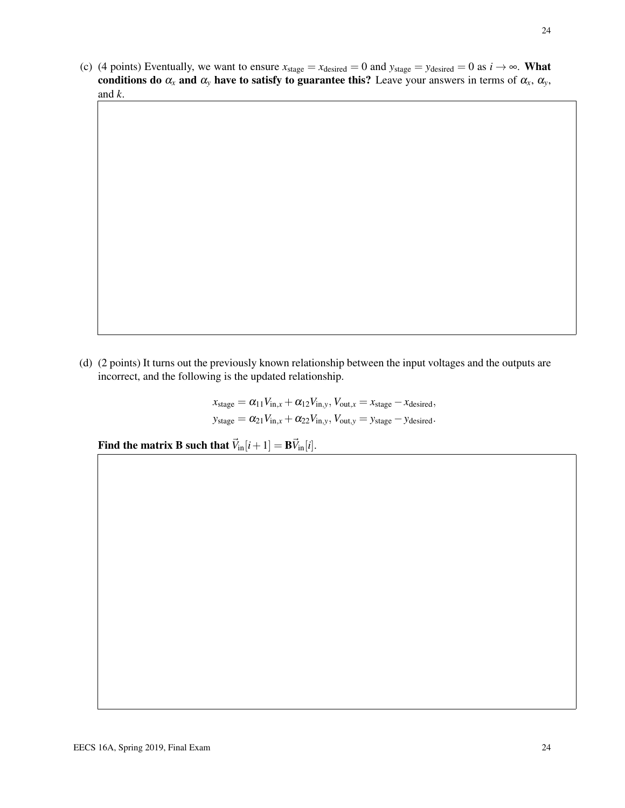(c) (4 points) Eventually, we want to ensure  $x_{stage} = x_{desired} = 0$  and  $y_{stage} = y_{desired} = 0$  as  $i \rightarrow \infty$ . What conditions do  $\alpha_x$  and  $\alpha_y$  have to satisfy to guarantee this? Leave your answers in terms of  $\alpha_x$ ,  $\alpha_y$ , and *k*.

(d) (2 points) It turns out the previously known relationship between the input voltages and the outputs are incorrect, and the following is the updated relationship.

> $x_{\text{stage}} = \alpha_{11}V_{\text{in},x} + \alpha_{12}V_{\text{in},y}$ ,  $V_{\text{out},x} = x_{\text{stage}} - x_{\text{desired}}$ ,  $y_{stage} = \alpha_{21}V_{in,x} + \alpha_{22}V_{in,y}$ ,  $V_{out,y} = y_{stage} - y_{desired}$ .

Find the matrix **B** such that  $\vec{V}_{in}[i+1] = \mathbf{B}\vec{V}_{in}[i].$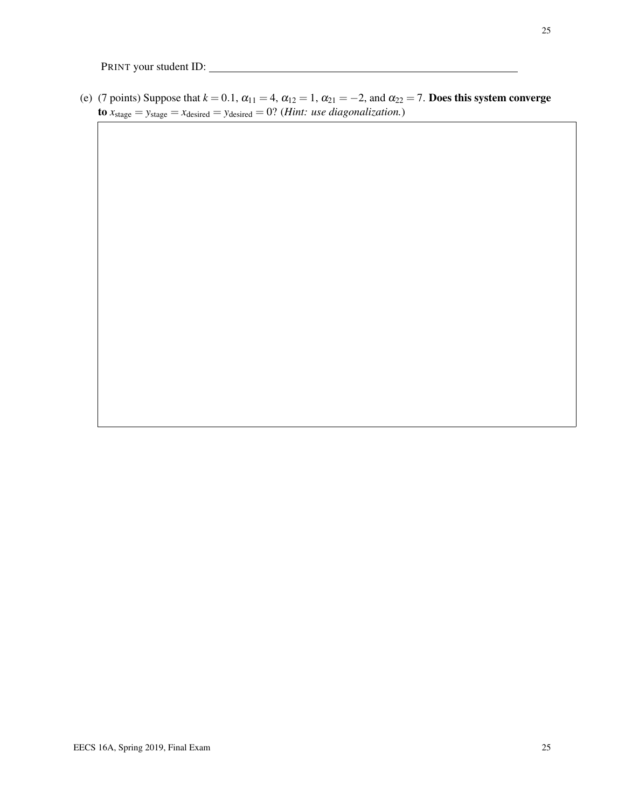(e) (7 points) Suppose that  $k = 0.1$ ,  $\alpha_{11} = 4$ ,  $\alpha_{12} = 1$ ,  $\alpha_{21} = -2$ , and  $\alpha_{22} = 7$ . Does this system converge  $\mathbf{to}$   $x_{stage} = y_{stage} = x_{desired} = y_{desired} = 0$ ? (*Hint: use diagonalization.*)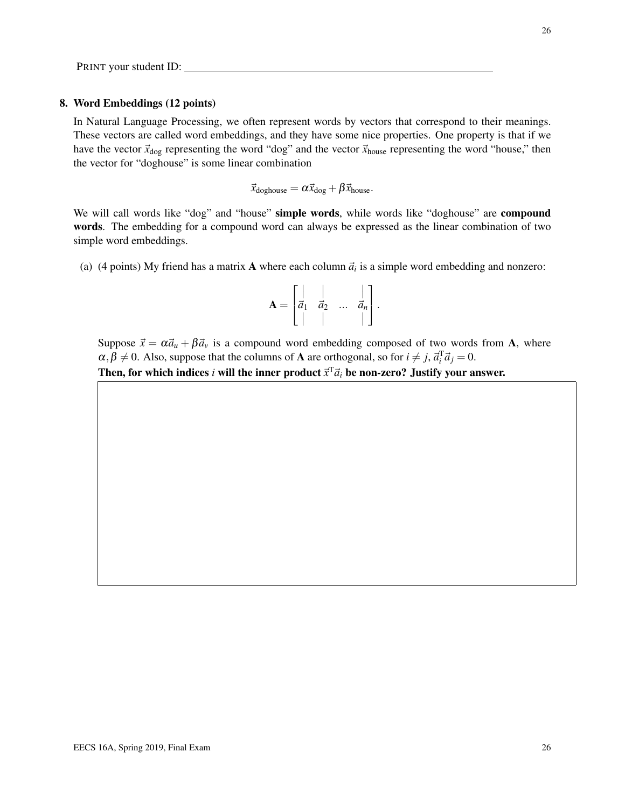EECS 16A, Spring 2019, Final Exam 26

### PRINT your student ID:

#### 8. Word Embeddings (12 points)

In Natural Language Processing, we often represent words by vectors that correspond to their meanings. These vectors are called word embeddings, and they have some nice properties. One property is that if we have the vector  $\vec{x}_{\text{dog}}$  representing the word "dog" and the vector  $\vec{x}_{\text{house}}$  representing the word "house," then the vector for "doghouse" is some linear combination

$$
\vec{x}_{\text{doghouse}} = \alpha \vec{x}_{\text{dog}} + \beta \vec{x}_{\text{house}}.
$$

We will call words like "dog" and "house" simple words, while words like "doghouse" are compound words. The embedding for a compound word can always be expressed as the linear combination of two simple word embeddings.

(a) (4 points) My friend has a matrix **A** where each column  $\vec{a}_i$  is a simple word embedding and nonzero:

$$
\mathbf{A} = \begin{bmatrix} | & | & & | \\ \vec{a}_1 & \vec{a}_2 & \dots & \vec{a}_n \\ | & | & & | \end{bmatrix}.
$$

Suppose  $\vec{x} = \alpha \vec{a}_u + \beta \vec{a}_v$  is a compound word embedding composed of two words from A, where  $\alpha, \beta \neq 0$ . Also, suppose that the columns of **A** are orthogonal, so for  $i \neq j$ ,  $\vec{a}_i^T \vec{a}_j = 0$ .

Then, for which indices *i* will the inner product  $\vec{x}^T \vec{a}_i$  be non-zero? Justify your answer.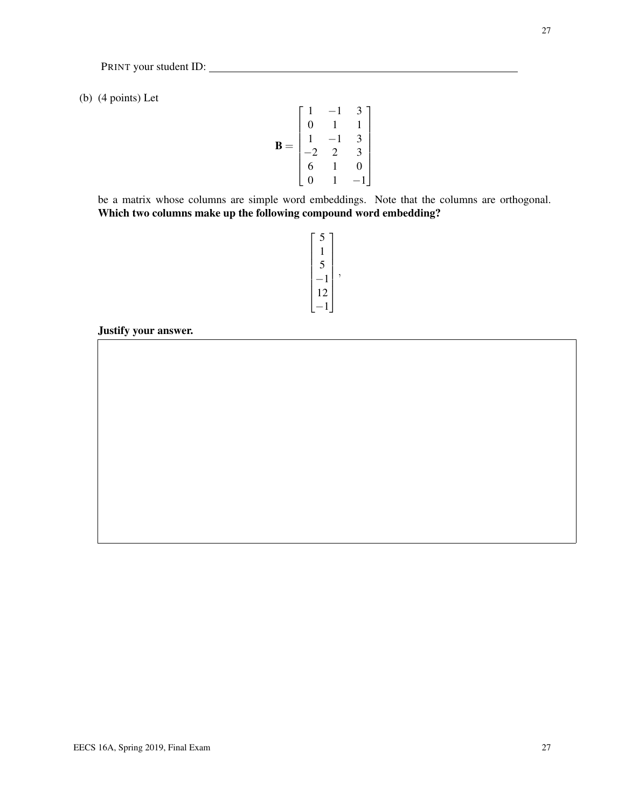(b) (4 points) Let

$$
\mathbf{B} = \begin{bmatrix} 1 & -1 & 3 \\ 0 & 1 & 1 \\ 1 & -1 & 3 \\ -2 & 2 & 3 \\ 6 & 1 & 0 \\ 0 & 1 & -1 \end{bmatrix}
$$

be a matrix whose columns are simple word embeddings. Note that the columns are orthogonal. Which two columns make up the following compound word embedding?

```
\sqrt{ }

5
  1
  5
−1
12
−1
      1
```
,

Justify your answer.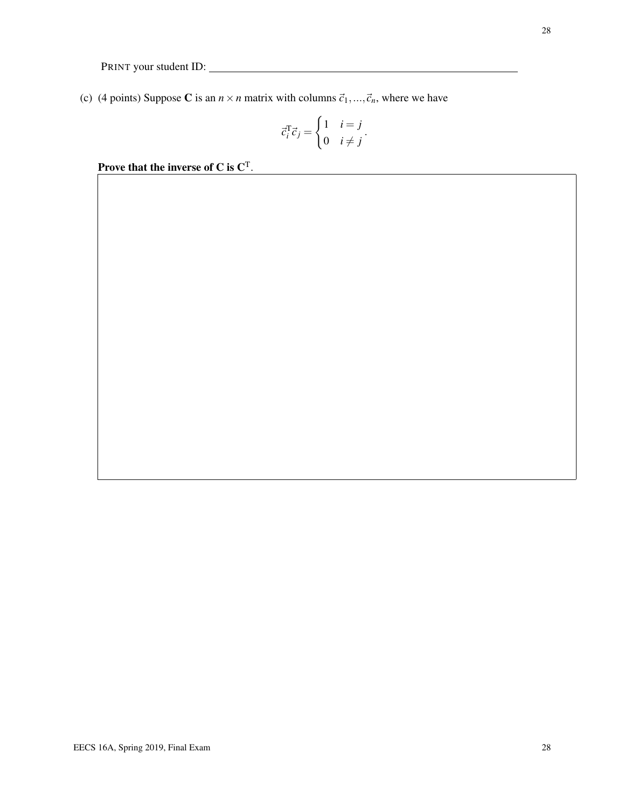(c) (4 points) Suppose C is an  $n \times n$  matrix with columns  $\vec{c}_1, ..., \vec{c}_n$ , where we have

$$
\vec{c}_i^{\mathrm{T}} \vec{c}_j = \begin{cases} 1 & i = j \\ 0 & i \neq j \end{cases}.
$$

Prove that the inverse of C is  $C<sup>T</sup>$ .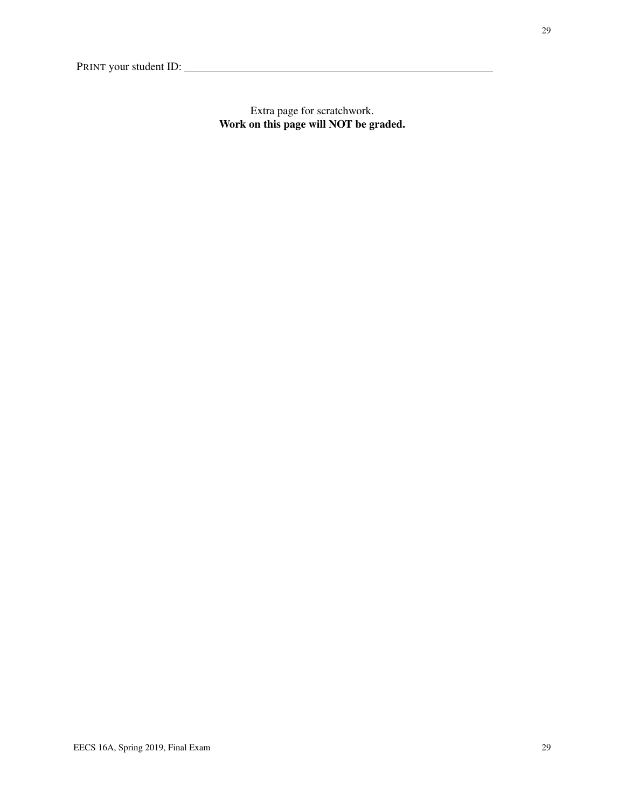Extra page for scratchwork. Work on this page will NOT be graded.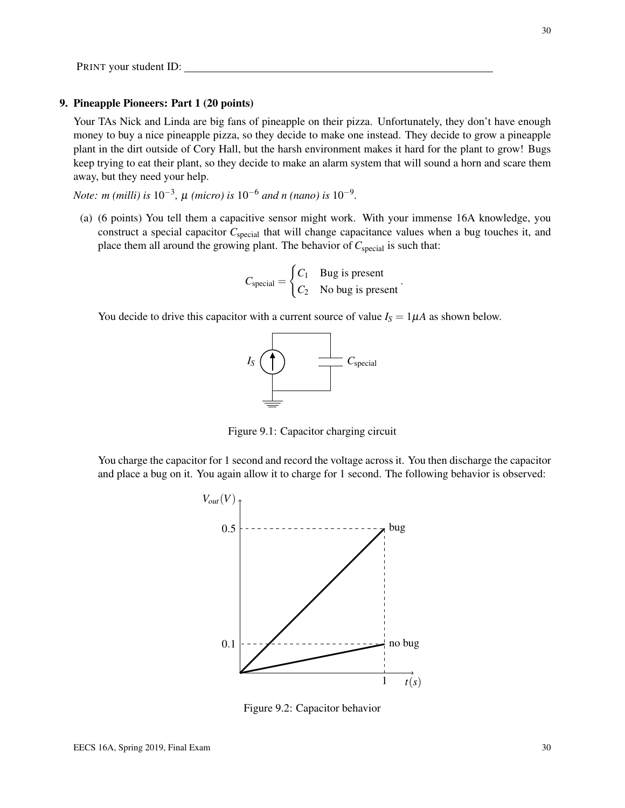#### 9. Pineapple Pioneers: Part 1 (20 points)

Your TAs Nick and Linda are big fans of pineapple on their pizza. Unfortunately, they don't have enough money to buy a nice pineapple pizza, so they decide to make one instead. They decide to grow a pineapple plant in the dirt outside of Cory Hall, but the harsh environment makes it hard for the plant to grow! Bugs keep trying to eat their plant, so they decide to make an alarm system that will sound a horn and scare them away, but they need your help.

*Note: m* (milli) is 10<sup>-3</sup>,  $\mu$  (micro) is 10<sup>-6</sup> and n (nano) is 10<sup>-9</sup>.

(a) (6 points) You tell them a capacitive sensor might work. With your immense 16A knowledge, you construct a special capacitor C<sub>special</sub> that will change capacitance values when a bug touches it, and place them all around the growing plant. The behavior of *C*<sub>special</sub> is such that:

$$
C_{\text{special}} = \begin{cases} C_1 & \text{Bug is present} \\ C_2 & \text{No bug is present} \end{cases}
$$

.

You decide to drive this capacitor with a current source of value  $I_S = 1 \mu A$  as shown below.



Figure 9.1: Capacitor charging circuit

You charge the capacitor for 1 second and record the voltage across it. You then discharge the capacitor and place a bug on it. You again allow it to charge for 1 second. The following behavior is observed:



Figure 9.2: Capacitor behavior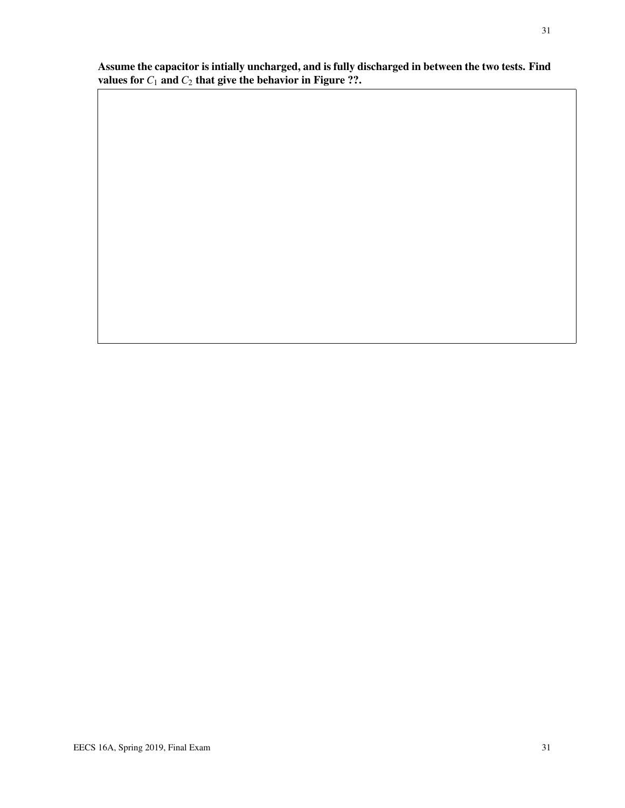Assume the capacitor is intially uncharged, and is fully discharged in between the two tests. Find values for  $C_1$  and  $C_2$  that give the behavior in Figure ??.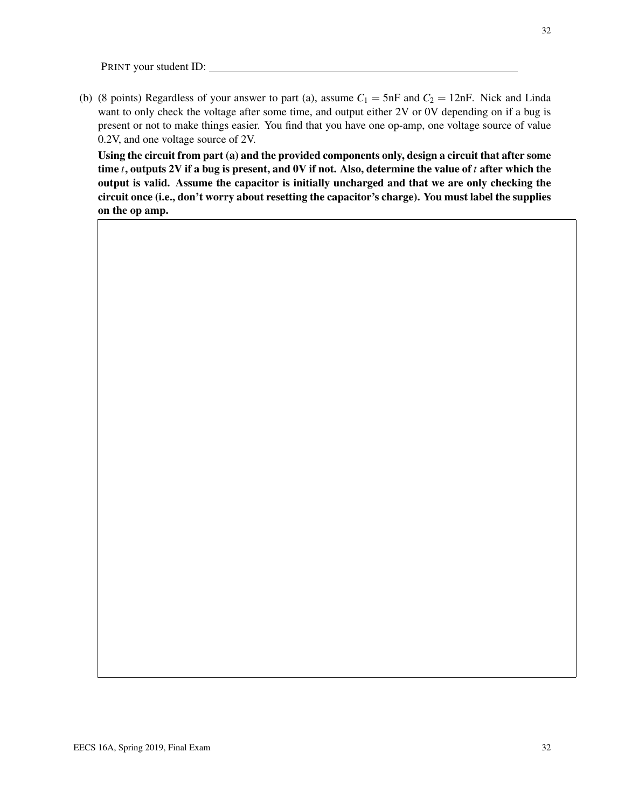(b) (8 points) Regardless of your answer to part (a), assume  $C_1 = 5$ nF and  $C_2 = 12$ nF. Nick and Linda want to only check the voltage after some time, and output either 2V or 0V depending on if a bug is present or not to make things easier. You find that you have one op-amp, one voltage source of value 0.2V, and one voltage source of 2V.

Using the circuit from part (a) and the provided components only, design a circuit that after some time *t*, outputs 2V if a bug is present, and 0V if not. Also, determine the value of *t* after which the output is valid. Assume the capacitor is initially uncharged and that we are only checking the circuit once (i.e., don't worry about resetting the capacitor's charge). You must label the supplies on the op amp.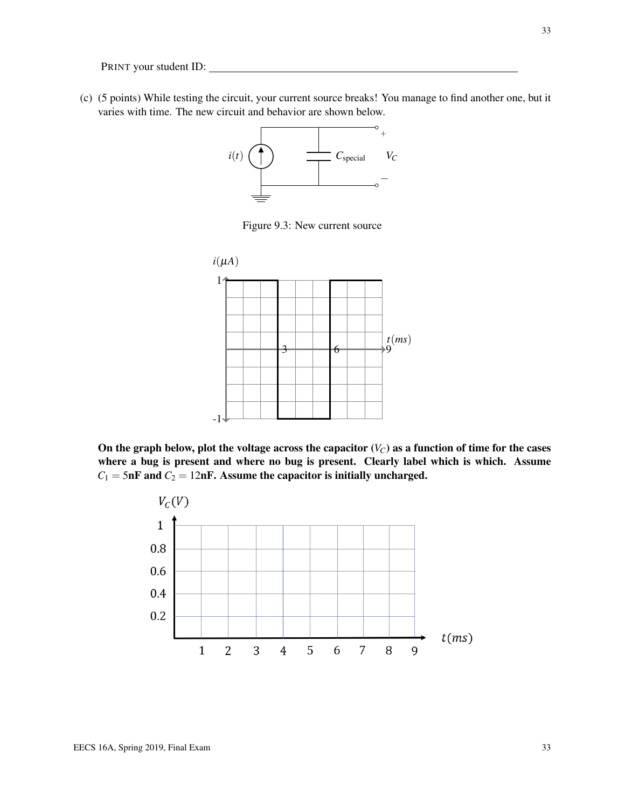(c) (5 points) While testing the circuit, your current source breaks! You manage to find another one, but it varies with time. The new circuit and behavior are shown below.



Figure 9.3: New current source



On the graph below, plot the voltage across the capacitor  $(V_C)$  as a function of time for the cases where a bug is present and where no bug is present. Clearly label which is which. Assume  $C_1 = 5$ nF and  $C_2 = 12$ nF. Assume the capacitor is initially uncharged.

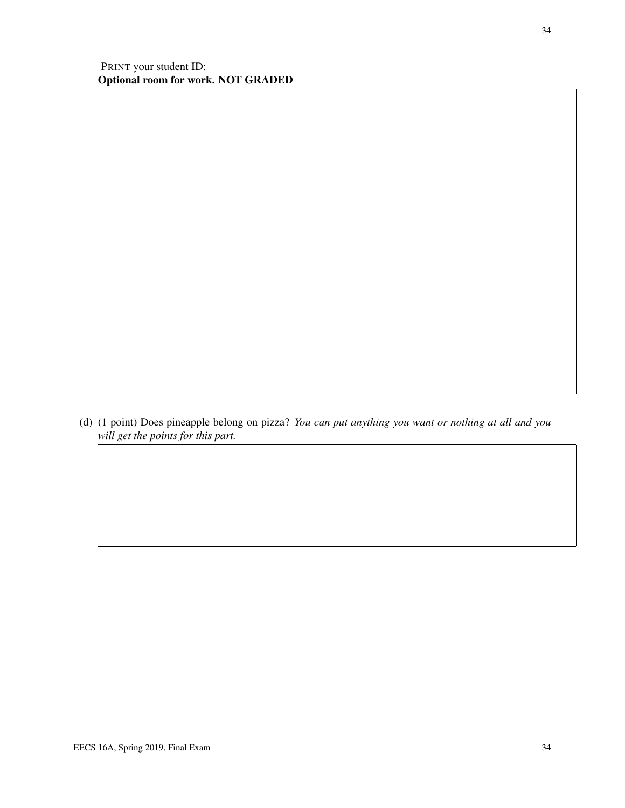(d) (1 point) Does pineapple belong on pizza? *You can put anything you want or nothing at all and you will get the points for this part.*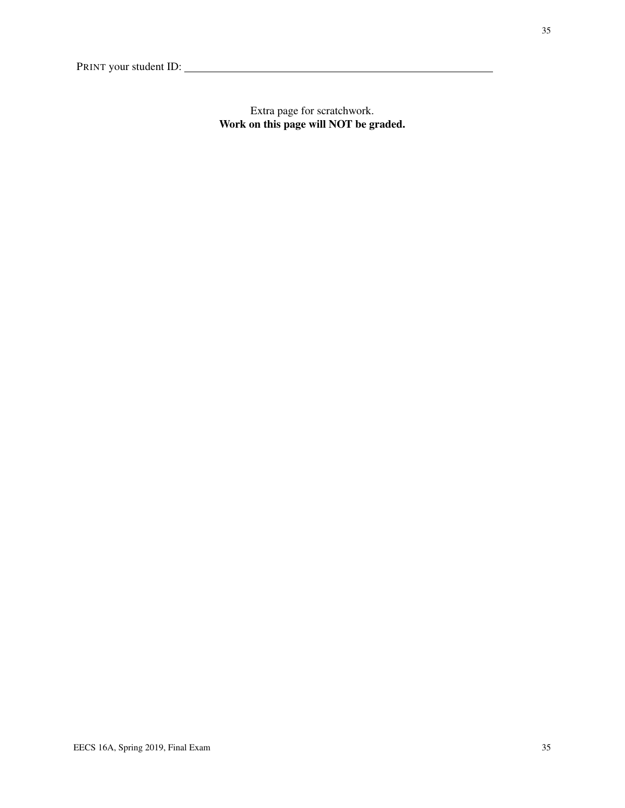Extra page for scratchwork. Work on this page will NOT be graded.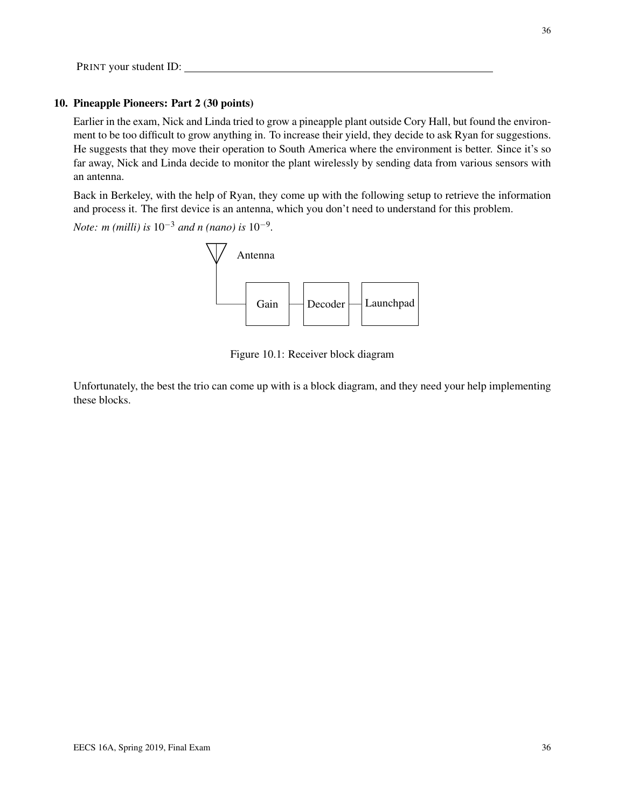#### 10. Pineapple Pioneers: Part 2 (30 points)

Earlier in the exam, Nick and Linda tried to grow a pineapple plant outside Cory Hall, but found the environment to be too difficult to grow anything in. To increase their yield, they decide to ask Ryan for suggestions. He suggests that they move their operation to South America where the environment is better. Since it's so far away, Nick and Linda decide to monitor the plant wirelessly by sending data from various sensors with an antenna.

Back in Berkeley, with the help of Ryan, they come up with the following setup to retrieve the information and process it. The first device is an antenna, which you don't need to understand for this problem.

*Note: m (milli) is* 10−<sup>3</sup> *and n (nano) is* 10−<sup>9</sup> *.*



Figure 10.1: Receiver block diagram

Unfortunately, the best the trio can come up with is a block diagram, and they need your help implementing these blocks.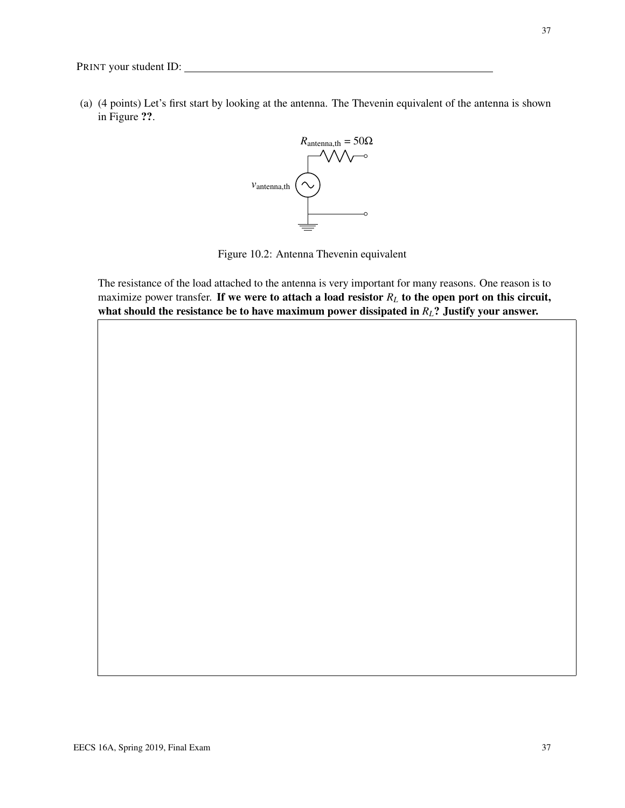37

(a) (4 points) Let's first start by looking at the antenna. The Thevenin equivalent of the antenna is shown in Figure ??.



Figure 10.2: Antenna Thevenin equivalent

The resistance of the load attached to the antenna is very important for many reasons. One reason is to maximize power transfer. If we were to attach a load resistor  $R_L$  to the open port on this circuit, what should the resistance be to have maximum power dissipated in *RL*? Justify your answer.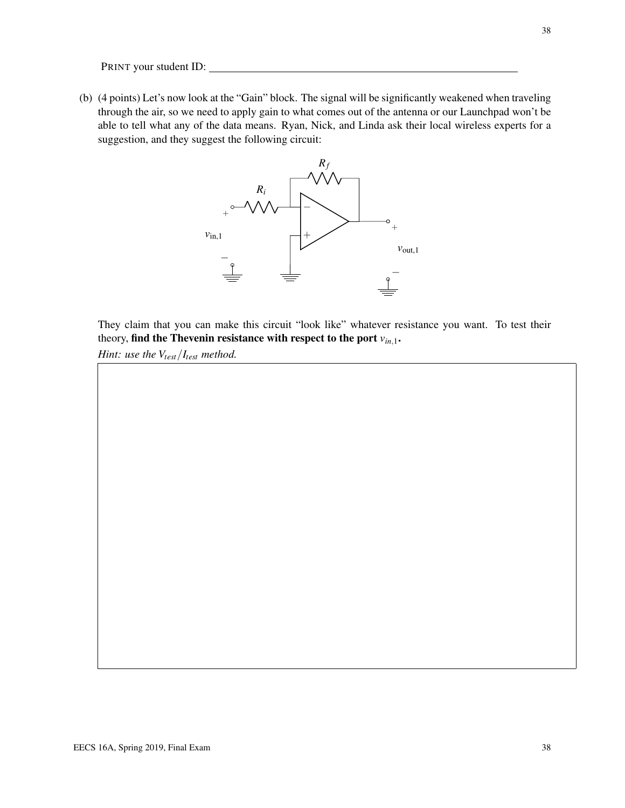(b) (4 points) Let's now look at the "Gain" block. The signal will be significantly weakened when traveling through the air, so we need to apply gain to what comes out of the antenna or our Launchpad won't be able to tell what any of the data means. Ryan, Nick, and Linda ask their local wireless experts for a suggestion, and they suggest the following circuit:



They claim that you can make this circuit "look like" whatever resistance you want. To test their theory, find the Thevenin resistance with respect to the port  $v_{in,1}$ .

*Hint: use the Vtest*/*Itest method.*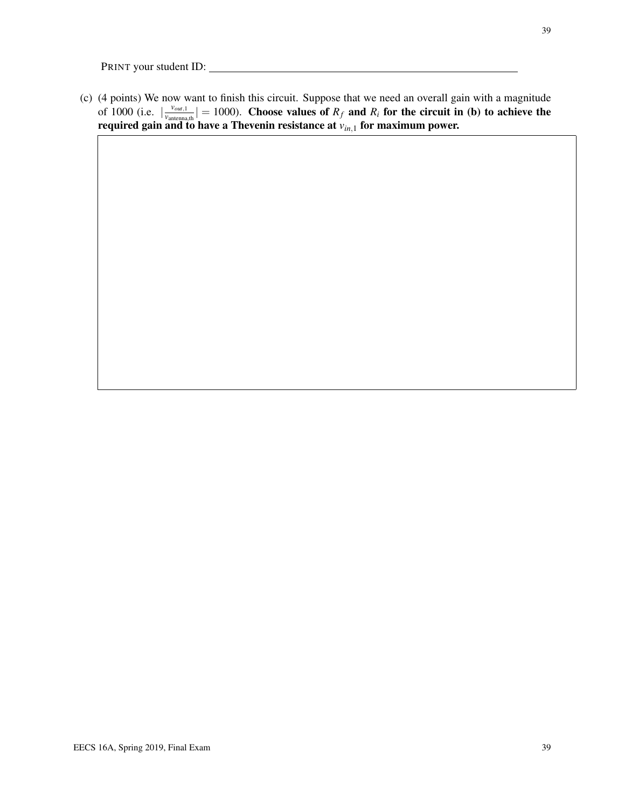(c) (4 points) We now want to finish this circuit. Suppose that we need an overall gain with a magnitude of 1000 (i.e.  $\frac{v_{out,1}}{v_{antenna}}$  $\frac{v_{out,1}}{v_{antenna,th}}$  = 1000). Choose values of  $R_f$  and  $R_i$  for the circuit in (b) to achieve the required gain and to have a Thevenin resistance at *vin*,<sup>1</sup> for maximum power.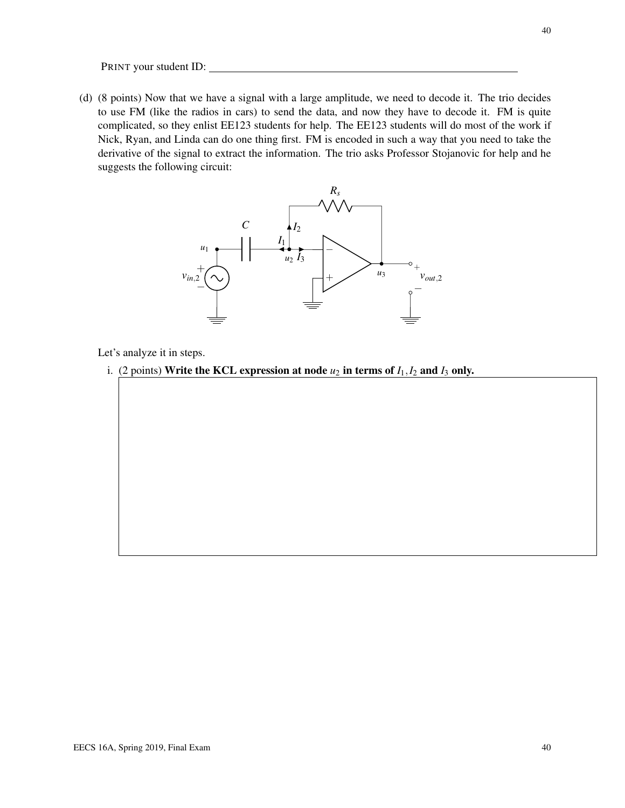(d) (8 points) Now that we have a signal with a large amplitude, we need to decode it. The trio decides to use FM (like the radios in cars) to send the data, and now they have to decode it. FM is quite complicated, so they enlist EE123 students for help. The EE123 students will do most of the work if Nick, Ryan, and Linda can do one thing first. FM is encoded in such a way that you need to take the derivative of the signal to extract the information. The trio asks Professor Stojanovic for help and he suggests the following circuit:



Let's analyze it in steps.

i. (2 points) Write the KCL expression at node  $u_2$  in terms of  $I_1, I_2$  and  $I_3$  only.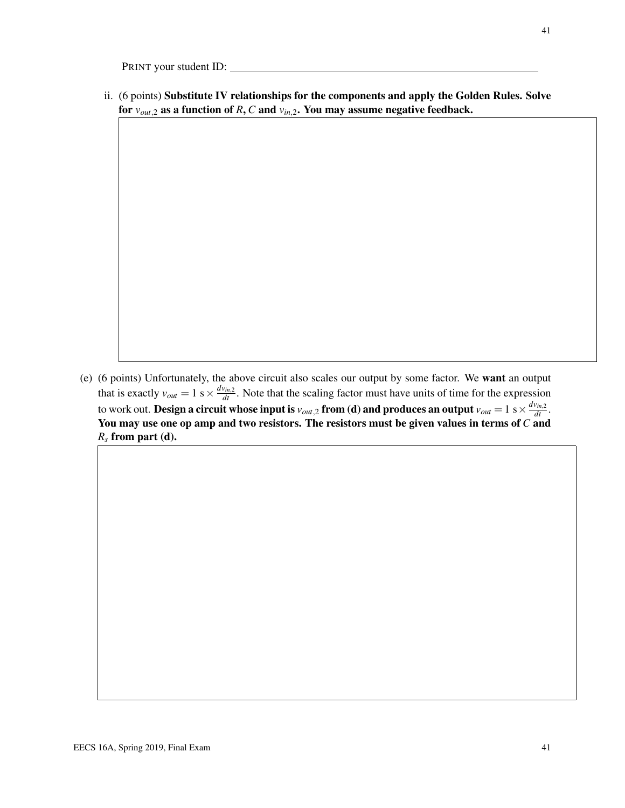ii. (6 points) Substitute IV relationships for the components and apply the Golden Rules. Solve for  $v_{out,2}$  as a function of *R*, *C* and  $v_{in,2}$ . You may assume negative feedback.

(e) (6 points) Unfortunately, the above circuit also scales our output by some factor. We want an output that is exactly  $v_{out} = 1$  s  $\times \frac{dv_{in,2}}{dt}$ . Note that the scaling factor must have units of time for the expression to work out. **Design a circuit whose input is**  $v_{out,2}$  **from (d) and produces an output**  $v_{out}=1$  s  $\times \frac{dv_{in,2}}{dt}$ . You may use one op amp and two resistors. The resistors must be given values in terms of *C* and *R<sup>s</sup>* from part (d).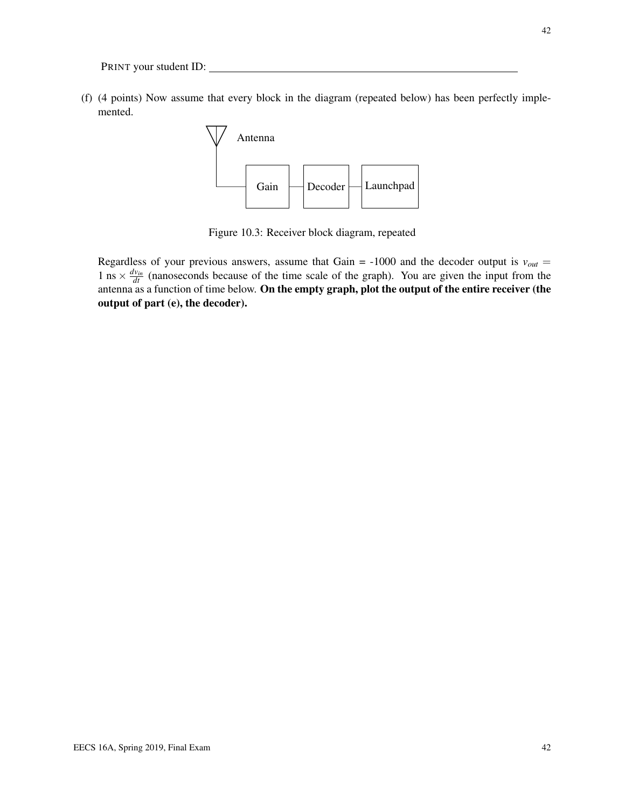(f) (4 points) Now assume that every block in the diagram (repeated below) has been perfectly implemented.



Figure 10.3: Receiver block diagram, repeated

Regardless of your previous answers, assume that Gain =  $-1000$  and the decoder output is  $v_{out}$  = 1 ns  $\times \frac{dv_{in}}{dt}$  (nanoseconds because of the time scale of the graph). You are given the input from the antenna as a function of time below. On the empty graph, plot the output of the entire receiver (the output of part (e), the decoder).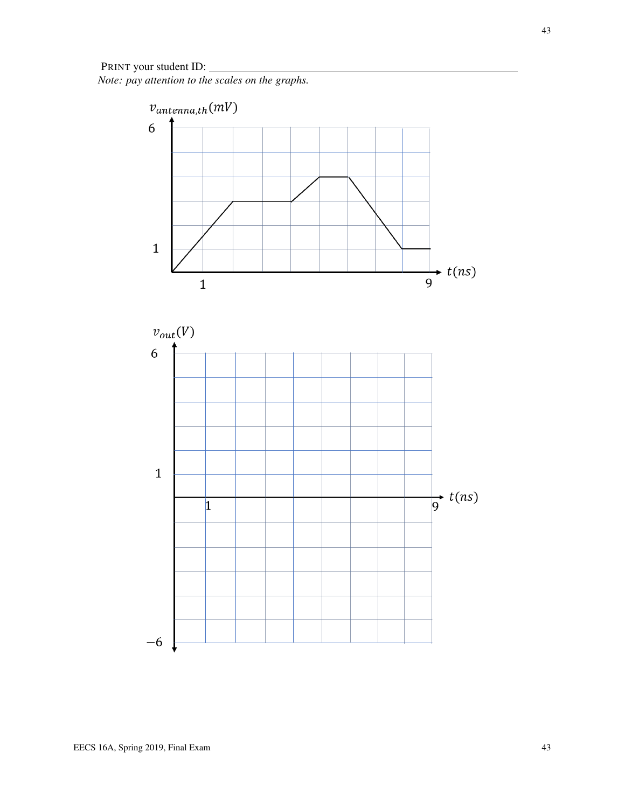*Note: pay attention to the scales on the graphs.*

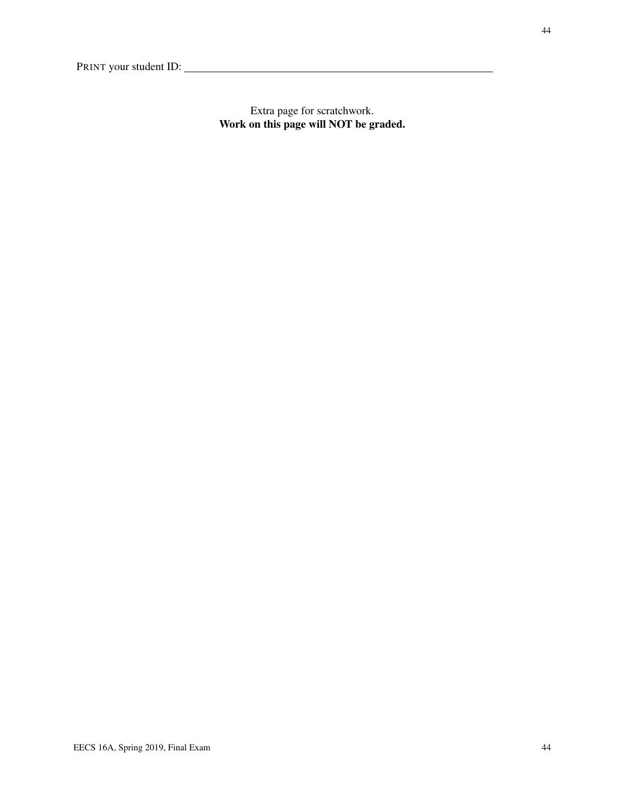Extra page for scratchwork. Work on this page will NOT be graded.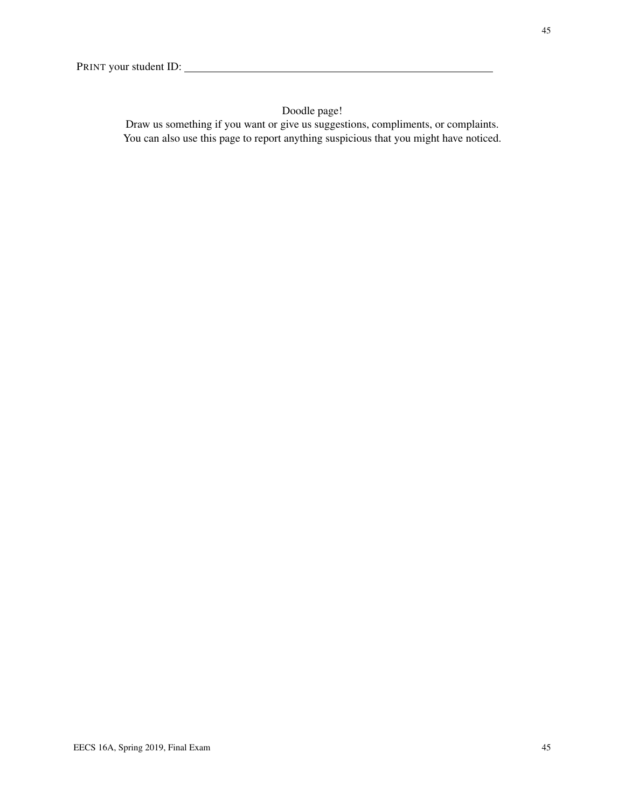## Doodle page!

Draw us something if you want or give us suggestions, compliments, or complaints. You can also use this page to report anything suspicious that you might have noticed.